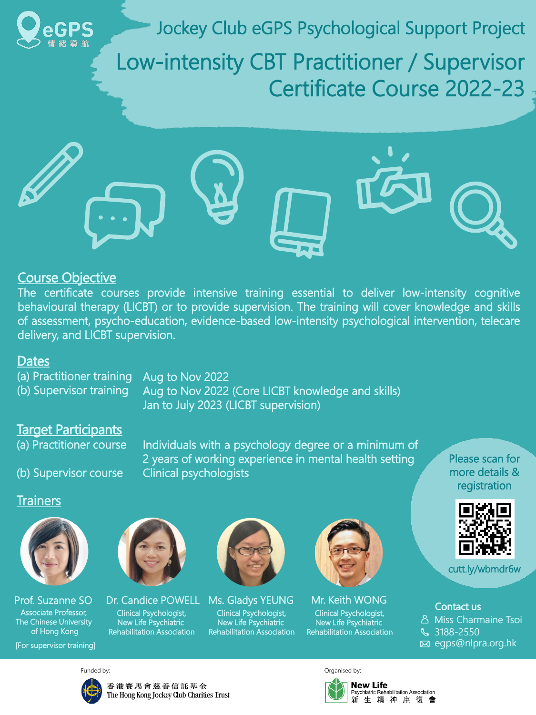

Jockey Club eGPS Psychological Support Project

Low-intensity CBT Practitioner / Supervisor Certificate Course 2022-23



(a) Practitioner training (b) Supervisor training

Aug to Nov 2022 Aug to Nov 2022 (Core LICBT knowledge and skills) Jan to July 2023 (LICBT supervision)

(a) Practitioner course

(b) Supervisor course

Individuals with a psychology degree or a minimum of 2 years of working experience in mental health setting Clinical psychologists

> Contact us Contact us Miss Charmaine Tsoi Miss Charmaine Tsoi 3188-2550 3188-2550egps@nlpra.org.hk



香港賽馬會慈善信託基金 The Hong Kong Jockey Club Charities Trust

Funded by: Communication of the Communication of the Communication of the Communication of the Communication of the Communication of the Communication of the Communication of the Communication of the Communication of the C



# Dates Dates

# Target Participants Target Participants

# Course Objective Objective

The certificate courses provide intensive training essential to deliver low-intensity cognitive behavioural therapy (LICBT) or to provide supervision. The training will cover knowledge and skills of assessment, psycho-education, evidence-based low-intensity psychological intervention, telecare delivery, and LICBT supervision.

cutt.ly/wbmdr6w

Please scan for more details & registration













Prof. Suzanne SO Associate Professor, The Chinese University of Hong Kong

Dr. Candice POWELL Clinical Psychologist, New Life Psychiatric Rehabilitation Association

Ms. Gladys YEUNG Clinical Psychologist, New Life Psychiatric Rehabilitation Association Mr. Keith WONG

Clinical Psychologist, New Life Psychiatric Rehabilitation Association

[For supervisor training]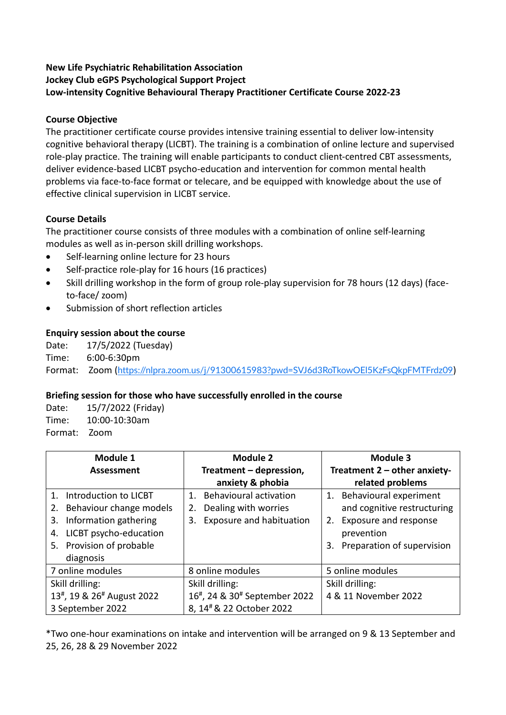# **New Life Psychiatric Rehabilitation Association Jockey Club eGPS Psychological Support Project Low-intensity Cognitive Behavioural Therapy Practitioner Certificate Course 2022-23**

### **Course Objective**

The practitioner certificate course provides intensive training essential to deliver low-intensity cognitive behavioral therapy (LICBT). The training is a combination of online lecture and supervised role-play practice. The training will enable participants to conduct client-centred CBT assessments, deliver evidence-based LICBT psycho-education and intervention for common mental health problems via face-to-face format or telecare, and be equipped with knowledge about the use of effective clinical supervision in LICBT service.

### **Course Details**

The practitioner course consists of three modules with a combination of online self-learning modules as well as in-person skill drilling workshops.

- Self-learning online lecture for 23 hours
- Self-practice role-play for 16 hours (16 practices)
- Skill drilling workshop in the form of group role-play supervision for 78 hours (12 days) (faceto-face/ zoom)
- Submission of short reflection articles

### **Enquiry session about the course**

Date: 17/5/2022 (Tuesday) Time: 6:00-6:30pm

Format: Zoom (<https://nlpra.zoom.us/j/91300615983?pwd=SVJ6d3RoTkowOEl5KzFsQkpFMTFrdz09>)

### **Briefing session for those who have successfully enrolled in the course**

| Date:   | 15/7/2022 (Friday) |
|---------|--------------------|
| Time:   | 10:00-10:30am      |
| Format: | – Zoom             |

| Module 1                                                                                                                                                       | Module 2                                                                                                        | Module 3                                                                                                                                  |  |
|----------------------------------------------------------------------------------------------------------------------------------------------------------------|-----------------------------------------------------------------------------------------------------------------|-------------------------------------------------------------------------------------------------------------------------------------------|--|
| <b>Assessment</b>                                                                                                                                              | Treatment - depression,                                                                                         | Treatment 2 - other anxiety-                                                                                                              |  |
|                                                                                                                                                                | anxiety & phobia                                                                                                | related problems                                                                                                                          |  |
| 1. Introduction to LICBT<br>2. Behaviour change models<br>Information gathering<br>3.<br>LICBT psycho-education<br>4.<br>5. Provision of probable<br>diagnosis | <b>Behavioural activation</b><br>$1_{-}$<br>Dealing with worries<br>2.<br><b>Exposure and habituation</b><br>3. | 1. Behavioural experiment<br>and cognitive restructuring<br>Exposure and response<br>2.<br>prevention<br>Preparation of supervision<br>3. |  |
| 7 online modules                                                                                                                                               | 8 online modules                                                                                                | 5 online modules                                                                                                                          |  |
| Skill drilling:                                                                                                                                                | Skill drilling:                                                                                                 | Skill drilling:                                                                                                                           |  |
| 13 <sup>#</sup> , 19 & 26 <sup>#</sup> August 2022<br>3 September 2022                                                                                         | 16 <sup>#</sup> , 24 & 30 <sup>#</sup> September 2022<br>8, 14 <sup>#</sup> & 22 October 2022                   | 4 & 11 November 2022                                                                                                                      |  |

\*Two one-hour examinations on intake and intervention will be arranged on 9 & 13 September and 25, 26, 28 & 29 November 2022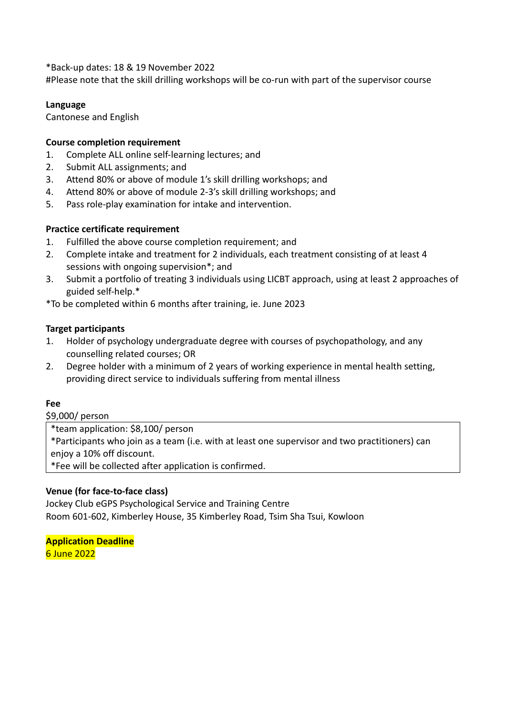\*Back-up dates: 18 & 19 November 2022

#Please note that the skill drilling workshops will be co-run with part of the supervisor course

#### **Language**

Cantonese and English

#### **Course completion requirement**

- 1. Complete ALL online self-learning lectures; and
- 2. Submit ALL assignments; and
- 3. Attend 80% or above of module 1's skill drilling workshops; and
- 4. Attend 80% or above of module 2-3's skill drilling workshops; and
- 5. Pass role-play examination for intake and intervention.

#### **Practice certificate requirement**

- 1. Fulfilled the above course completion requirement; and
- 2. Complete intake and treatment for 2 individuals, each treatment consisting of at least 4 sessions with ongoing supervision\*; and
- 3. Submit a portfolio of treating 3 individuals using LICBT approach, using at least 2 approaches of guided self-help.\*

\*To be completed within 6 months after training, ie. June 2023

#### **Target participants**

- 1. Holder of psychology undergraduate degree with courses of psychopathology, and any counselling related courses; OR
- 2. Degree holder with a minimum of 2 years of working experience in mental health setting, providing direct service to individuals suffering from mental illness

#### **Fee**

\$9,000/ person

\*team application: \$8,100/ person

\*Participants who join as a team (i.e. with at least one supervisor and two practitioners) can enjoy a 10% off discount.

\*Fee will be collected after application is confirmed.

#### **Venue (for face-to-face class)**

Jockey Club eGPS Psychological Service and Training Centre Room 601-602, Kimberley House, 35 Kimberley Road, Tsim Sha Tsui, Kowloon

**Application Deadline** 6 June 2022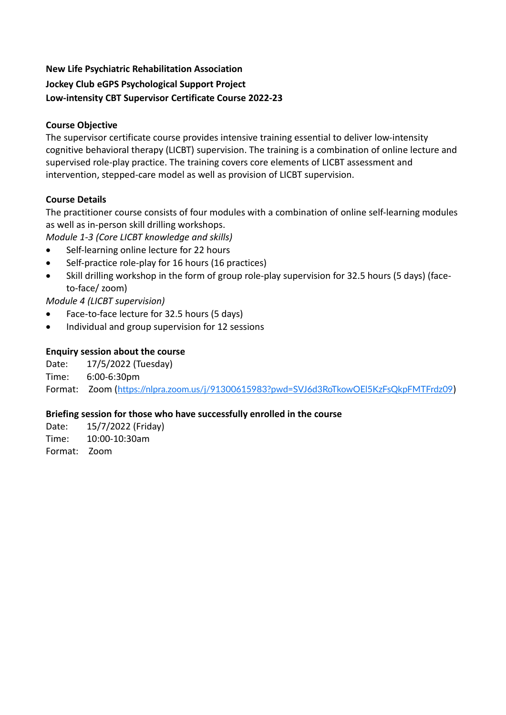### **New Life Psychiatric Rehabilitation Association**

# **Jockey Club eGPS Psychological Support Project Low-intensity CBT Supervisor Certificate Course 2022-23**

## **Course Objective**

The supervisor certificate course provides intensive training essential to deliver low-intensity cognitive behavioral therapy (LICBT) supervision. The training is a combination of online lecture and supervised role-play practice. The training covers core elements of LICBT assessment and intervention, stepped-care model as well as provision of LICBT supervision.

# **Course Details**

The practitioner course consists of four modules with a combination of online self-learning modules as well as in-person skill drilling workshops.

- *Module 1-3 (Core LICBT knowledge and skills)*
- Self-learning online lecture for 22 hours
- Self-practice role-play for 16 hours (16 practices)
- Skill drilling workshop in the form of group role-play supervision for 32.5 hours (5 days) (faceto-face/ zoom)

*Module 4 (LICBT supervision)*

- Face-to-face lecture for 32.5 hours (5 days)
- Individual and group supervision for 12 sessions

# **Enquiry session about the course**

Date: 17/5/2022 (Tuesday)

Time: 6:00-6:30pm

Format: Zoom (<https://nlpra.zoom.us/j/91300615983?pwd=SVJ6d3RoTkowOEl5KzFsQkpFMTFrdz09>)

# **Briefing session for those who have successfully enrolled in the course**

Date: 15/7/2022 (Friday) Time: 10:00-10:30am Format: Zoom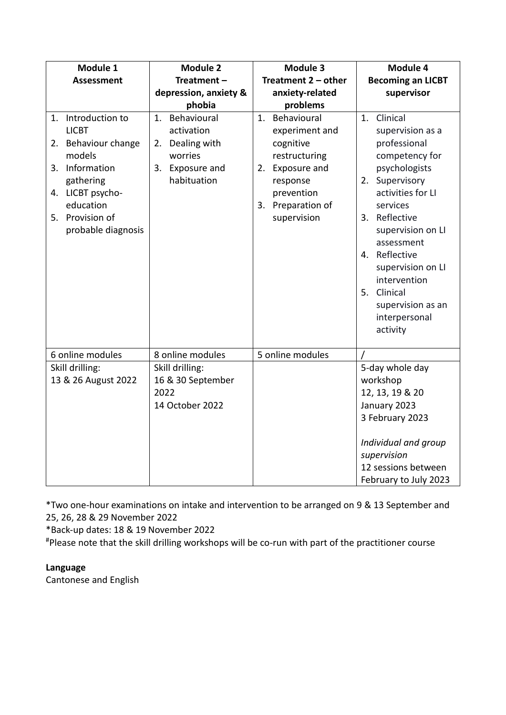| Module 1                                                                                                                                                                                    | <b>Module 2</b>                                                                                 | <b>Module 3</b>                                                                                                                                    | Module 4                                                                                                                                                                                                                                                                                                                     |
|---------------------------------------------------------------------------------------------------------------------------------------------------------------------------------------------|-------------------------------------------------------------------------------------------------|----------------------------------------------------------------------------------------------------------------------------------------------------|------------------------------------------------------------------------------------------------------------------------------------------------------------------------------------------------------------------------------------------------------------------------------------------------------------------------------|
| <b>Assessment</b>                                                                                                                                                                           | Treatment-                                                                                      | Treatment $2$ – other                                                                                                                              | <b>Becoming an LICBT</b>                                                                                                                                                                                                                                                                                                     |
|                                                                                                                                                                                             | depression, anxiety &                                                                           | anxiety-related                                                                                                                                    | supervisor                                                                                                                                                                                                                                                                                                                   |
|                                                                                                                                                                                             | phobia                                                                                          | problems                                                                                                                                           |                                                                                                                                                                                                                                                                                                                              |
| Introduction to<br>1.<br><b>LICBT</b><br>Behaviour change<br>2.<br>models<br>Information<br>3.<br>gathering<br>LICBT psycho-<br>4.<br>education<br>Provision of<br>5.<br>probable diagnosis | Behavioural<br>1.<br>activation<br>2. Dealing with<br>worries<br>3. Exposure and<br>habituation | Behavioural<br>1.<br>experiment and<br>cognitive<br>restructuring<br>2. Exposure and<br>response<br>prevention<br>3. Preparation of<br>supervision | Clinical<br>1.<br>supervision as a<br>professional<br>competency for<br>psychologists<br>Supervisory<br>2.<br>activities for LI<br>services<br>Reflective<br>3.<br>supervision on LI<br>assessment<br>Reflective<br>4.<br>supervision on LI<br>intervention<br>5. Clinical<br>supervision as an<br>interpersonal<br>activity |
| 6 online modules                                                                                                                                                                            | 8 online modules                                                                                | 5 online modules                                                                                                                                   |                                                                                                                                                                                                                                                                                                                              |
| Skill drilling:<br>13 & 26 August 2022                                                                                                                                                      | Skill drilling:<br>16 & 30 September<br>2022<br>14 October 2022                                 |                                                                                                                                                    | 5-day whole day<br>workshop<br>12, 13, 19 & 20<br>January 2023<br>3 February 2023<br>Individual and group<br>supervision<br>12 sessions between<br>February to July 2023                                                                                                                                                     |

\*Two one-hour examinations on intake and intervention to be arranged on 9 & 13 September and 25, 26, 28 & 29 November 2022

\*Back-up dates: 18 & 19 November 2022

#Please note that the skill drilling workshops will be co-run with part of the practitioner course

# **Language**

Cantonese and English